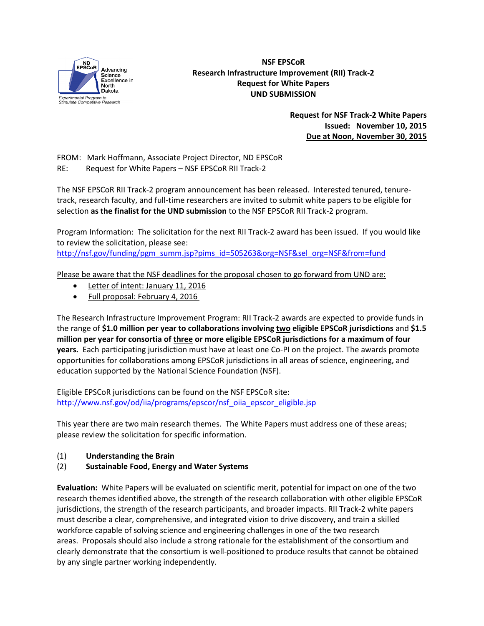

## **NSF EPSCoR Research Infrastructure Improvement (RII) Track-2 Request for White Papers UND SUBMISSION**

**Request for NSF Track-2 White Papers Issued: November 10, 2015 Due at Noon, November 30, 2015** 

FROM: Mark Hoffmann, Associate Project Director, ND EPSCoR RE: Request for White Papers – NSF EPSCoR RII Track-2

The NSF EPSCoR RII Track-2 program announcement has been released. Interested tenured, tenuretrack, research faculty, and full-time researchers are invited to submit white papers to be eligible for selection **as the finalist for the UND submission** to the NSF EPSCoR RII Track-2 program.

Program Information: The solicitation for the next RII Track-2 award has been issued. If you would like to review the solicitation, please see:

[http://nsf.gov/funding/pgm\\_summ.jsp?pims\\_id=505263&org=NSF&sel\\_org=NSF&from=fund](http://nsf.gov/funding/pgm_summ.jsp?pims_id=505263&org=NSF&sel_org=NSF&from=fund)

Please be aware that the NSF deadlines for the proposal chosen to go forward from UND are:

- Letter of intent: January 11, 2016
- Full proposal: February 4, 2016

The Research Infrastructure Improvement Program: RII Track-2 awards are expected to provide funds in the range of **\$1.0 million per year to collaborations involving two eligible EPSCoR jurisdictions** and **\$1.5 million per year for consortia of three or more eligible EPSCoR jurisdictions for a maximum of four years.** Each participating jurisdiction must have at least one Co-PI on the project. The awards promote opportunities for collaborations among EPSCoR jurisdictions in all areas of science, engineering, and education supported by the National Science Foundation (NSF).

Eligible EPSCoR jurisdictions can be found on the NSF EPSCoR site: [http://www.nsf.gov/od/iia/programs/epscor/nsf\\_oiia\\_epscor\\_eligible.jsp](http://www.nsf.gov/od/iia/programs/epscor/nsf_oiia_epscor_eligible.jsp)

This year there are two main research themes. The White Papers must address one of these areas; please review the solicitation for specific information.

- (1) **Understanding the Brain**
- (2) **Sustainable Food, Energy and Water Systems**

**Evaluation:** White Papers will be evaluated on scientific merit, potential for impact on one of the two research themes identified above, the strength of the research collaboration with other eligible EPSCoR jurisdictions, the strength of the research participants, and broader impacts. RII Track-2 white papers must describe a clear, comprehensive, and integrated vision to drive discovery, and train a skilled workforce capable of solving science and engineering challenges in one of the two research areas. Proposals should also include a strong rationale for the establishment of the consortium and clearly demonstrate that the consortium is well-positioned to produce results that cannot be obtained by any single partner working independently.